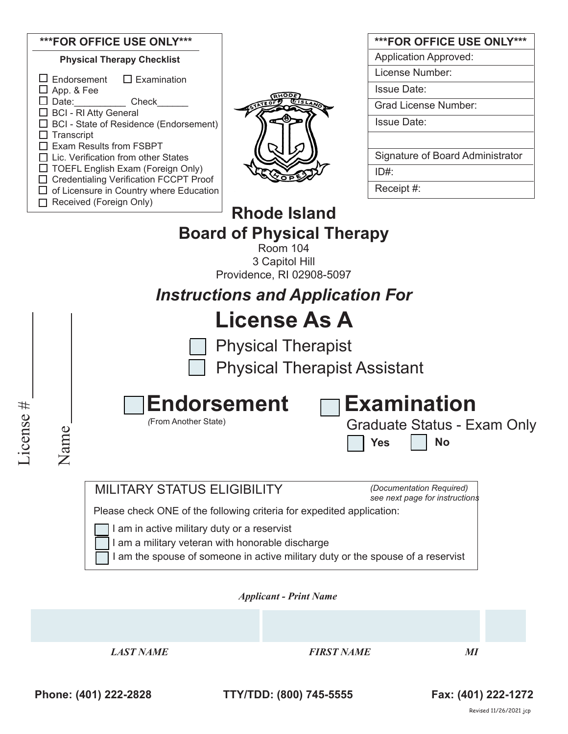| ***FOR OFFICE USE ONLY***                                                                                                                                                                                                                                              |                                             | ***FOR OFFICE USE ONLY***        |  |  |
|------------------------------------------------------------------------------------------------------------------------------------------------------------------------------------------------------------------------------------------------------------------------|---------------------------------------------|----------------------------------|--|--|
| <b>Physical Therapy Checklist</b>                                                                                                                                                                                                                                      |                                             | <b>Application Approved:</b>     |  |  |
| $\Box$ Examination<br>Endorsement                                                                                                                                                                                                                                      |                                             | License Number:                  |  |  |
| App. & Fee                                                                                                                                                                                                                                                             |                                             | <b>Issue Date:</b>               |  |  |
| Check<br>Date: and the state of the state of the state of the state of the state of the state of the state of the state of the state of the state of the state of the state of the state of the state of the state of the state of the<br><b>BCI - RI Atty General</b> |                                             | <b>Grad License Number:</b>      |  |  |
| <b>BCI</b> - State of Residence (Endorsement)                                                                                                                                                                                                                          |                                             | <b>Issue Date:</b>               |  |  |
| Transcript<br><b>Exam Results from FSBPT</b>                                                                                                                                                                                                                           |                                             |                                  |  |  |
| Lic. Verification from other States                                                                                                                                                                                                                                    |                                             | Signature of Board Administrator |  |  |
| $\Box$ TOEFL English Exam (Foreign Only)                                                                                                                                                                                                                               |                                             | $ID#$ :                          |  |  |
| <b>Credentialing Verification FCCPT Proof</b><br>of Licensure in Country where Education                                                                                                                                                                               |                                             | Receipt #:                       |  |  |
| Received (Foreign Only)                                                                                                                                                                                                                                                |                                             |                                  |  |  |
|                                                                                                                                                                                                                                                                        | <b>Rhode Island</b>                         |                                  |  |  |
|                                                                                                                                                                                                                                                                        | <b>Board of Physical Therapy</b>            |                                  |  |  |
|                                                                                                                                                                                                                                                                        | Room 104                                    |                                  |  |  |
|                                                                                                                                                                                                                                                                        | 3 Capitol Hill<br>Providence, RI 02908-5097 |                                  |  |  |
|                                                                                                                                                                                                                                                                        |                                             |                                  |  |  |
| <b>Instructions and Application For</b>                                                                                                                                                                                                                                |                                             |                                  |  |  |
|                                                                                                                                                                                                                                                                        | <b>License As A</b>                         |                                  |  |  |
|                                                                                                                                                                                                                                                                        | <b>Physical Therapist</b>                   |                                  |  |  |
|                                                                                                                                                                                                                                                                        | <b>Physical Therapist Assistant</b>         |                                  |  |  |

| □Endorsement         | $\Box$ Examination                               |  |  |
|----------------------|--------------------------------------------------|--|--|
| (From Another State) | <b>Graduate Status - Exam Only</b><br>  Yes   No |  |  |

*(Documentation Required) see next page for instructions*

Please check ONE of the following criteria for expedited application:

I am in active military duty or a reservist

I am a military veteran with honorable discharge

I am the spouse of someone in active military duty or the spouse of a reservist

*Applicant - Print Name* 

*LAST NAME FIRST NAME MI*

License #

License #

Name

**Phone: (401) 222-2828 TTY/TDD: (800) 745-5555 Fax: (401) 222-1272**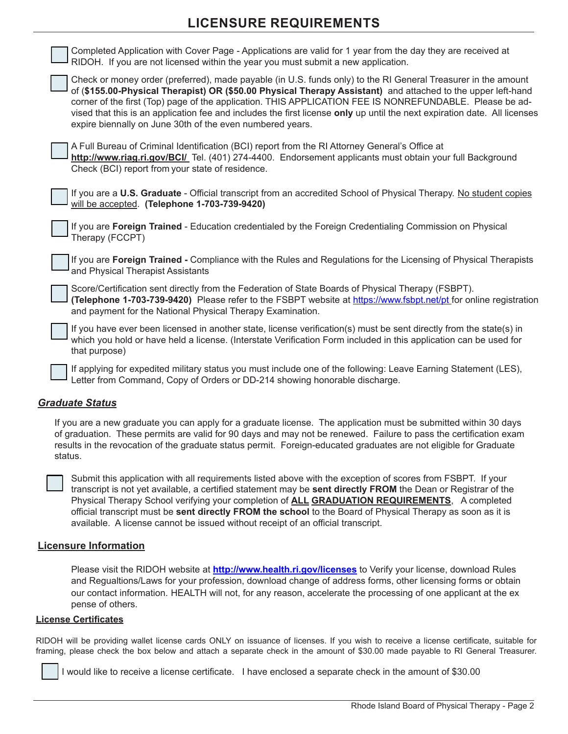## **LICENSURE REQUIREMENTS**

| Completed Application with Cover Page - Applications are valid for 1 year from the day they are received at<br>RIDOH. If you are not licensed within the year you must submit a new application.                                                                                                                                                                                                                                                                                                                                   |
|------------------------------------------------------------------------------------------------------------------------------------------------------------------------------------------------------------------------------------------------------------------------------------------------------------------------------------------------------------------------------------------------------------------------------------------------------------------------------------------------------------------------------------|
| Check or money order (preferred), made payable (in U.S. funds only) to the RI General Treasurer in the amount<br>of (\$155.00-Physical Therapist) OR (\$50.00 Physical Therapy Assistant) and attached to the upper left-hand<br>corner of the first (Top) page of the application. THIS APPLICATION FEE IS NONREFUNDABLE. Please be ad-<br>vised that this is an application fee and includes the first license only up until the next expiration date. All licenses<br>expire biennally on June 30th of the even numbered years. |
| A Full Bureau of Criminal Identification (BCI) report from the RI Attorney General's Office at<br>http://www.riag.ri.gov/BCI/ Tel. (401) 274-4400. Endorsement applicants must obtain your full Background<br>Check (BCI) report from your state of residence.                                                                                                                                                                                                                                                                     |
| If you are a U.S. Graduate - Official transcript from an accredited School of Physical Therapy. No student copies<br>will be accepted. (Telephone 1-703-739-9420)                                                                                                                                                                                                                                                                                                                                                                  |
| If you are Foreign Trained - Education credentialed by the Foreign Credentialing Commission on Physical<br>Therapy (FCCPT)                                                                                                                                                                                                                                                                                                                                                                                                         |
| If you are Foreign Trained - Compliance with the Rules and Regulations for the Licensing of Physical Therapists<br>and Physical Therapist Assistants                                                                                                                                                                                                                                                                                                                                                                               |
| Score/Certification sent directly from the Federation of State Boards of Physical Therapy (FSBPT).<br>(Telephone 1-703-739-9420) Please refer to the FSBPT website at https://www.fsbpt.net/pt for online registration<br>and payment for the National Physical Therapy Examination.                                                                                                                                                                                                                                               |
| If you have ever been licensed in another state, license verification(s) must be sent directly from the state(s) in<br>which you hold or have held a license. (Interstate Verification Form included in this application can be used for<br>that purpose)                                                                                                                                                                                                                                                                          |
| If applying for expedited military status you must include one of the following: Leave Earning Statement (LES),<br>Letter from Command, Copy of Orders or DD-214 showing honorable discharge.                                                                                                                                                                                                                                                                                                                                      |

### *Graduate Status*

If you are a new graduate you can apply for a graduate license. The application must be submitted within 30 days of graduation. These permits are valid for 90 days and may not be renewed. Failure to pass the certification exam results in the revocation of the graduate status permit. Foreign-educated graduates are not eligible for Graduate status.



 Submit this application with all requirements listed above with the exception of scores from FSBPT. If your transcript is not yet available, a certified statement may be **sent directly FROM** the Dean or Registrar of the Physical Therapy School verifying your completion of **ALL GRADUATION REQUIREMENTS**, A completed official transcript must be **sent directly FROM the school** to the Board of Physical Therapy as soon as it is available. A license cannot be issued without receipt of an official transcript.

### **Licensure Information**

Please visit the RIDOH website at **http://www.health.ri.gov/licenses** to Verify your license, download Rules and Regualtions/Laws for your profession, download change of address forms, other licensing forms or obtain our contact information. HEALTH will not, for any reason, accelerate the processing of one applicant at the ex pense of others.

#### **License Certificates**

RIDOH will be providing wallet license cards ONLY on issuance of licenses. If you wish to receive a license certificate, suitable for framing, please check the box below and attach a separate check in the amount of \$30.00 made payable to RI General Treasurer.

I would like to receive a license certificate. I have enclosed a separate check in the amount of \$30.00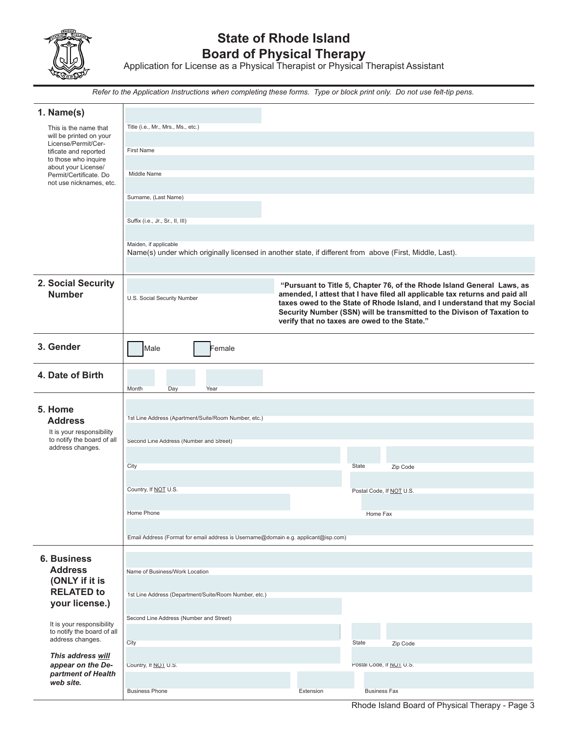

# **State of Rhode Island Board of Physical Therapy**

Application for License as a Physical Therapist or Physical Therapist Assistant

*Refer to the Application Instructions when completing these forms. Type or block print only. Do not use felt-tip pens.*

| 1. Name(s)                                        |                                                                                                          |           |                                                                                                                                                                                                                                                                                                                                                              |
|---------------------------------------------------|----------------------------------------------------------------------------------------------------------|-----------|--------------------------------------------------------------------------------------------------------------------------------------------------------------------------------------------------------------------------------------------------------------------------------------------------------------------------------------------------------------|
| This is the name that<br>will be printed on your  | Title (i.e., Mr., Mrs., Ms., etc.)                                                                       |           |                                                                                                                                                                                                                                                                                                                                                              |
| License/Permit/Cer-<br>tificate and reported      | <b>First Name</b>                                                                                        |           |                                                                                                                                                                                                                                                                                                                                                              |
| to those who inquire<br>about your License/       |                                                                                                          |           |                                                                                                                                                                                                                                                                                                                                                              |
| Permit/Certificate. Do<br>not use nicknames, etc. | Middle Name                                                                                              |           |                                                                                                                                                                                                                                                                                                                                                              |
|                                                   | Surname, (Last Name)                                                                                     |           |                                                                                                                                                                                                                                                                                                                                                              |
|                                                   |                                                                                                          |           |                                                                                                                                                                                                                                                                                                                                                              |
|                                                   | Suffix (i.e., Jr., Sr., II, III)                                                                         |           |                                                                                                                                                                                                                                                                                                                                                              |
|                                                   | Maiden, if applicable                                                                                    |           |                                                                                                                                                                                                                                                                                                                                                              |
|                                                   | Name(s) under which originally licensed in another state, if different from above (First, Middle, Last). |           |                                                                                                                                                                                                                                                                                                                                                              |
|                                                   |                                                                                                          |           |                                                                                                                                                                                                                                                                                                                                                              |
| 2. Social Security<br><b>Number</b>               | U.S. Social Security Number                                                                              |           | "Pursuant to Title 5, Chapter 76, of the Rhode Island General Laws, as<br>amended, I attest that I have filed all applicable tax returns and paid all<br>taxes owed to the State of Rhode Island, and I understand that my Social<br>Security Number (SSN) will be transmitted to the Divison of Taxation to<br>verify that no taxes are owed to the State." |
| 3. Gender                                         | Male<br>Female                                                                                           |           |                                                                                                                                                                                                                                                                                                                                                              |
| 4. Date of Birth                                  | Month<br>Day<br>Year                                                                                     |           |                                                                                                                                                                                                                                                                                                                                                              |
|                                                   |                                                                                                          |           |                                                                                                                                                                                                                                                                                                                                                              |
| 5. Home<br><b>Address</b>                         | 1st Line Address (Apartment/Suite/Room Number, etc.)                                                     |           |                                                                                                                                                                                                                                                                                                                                                              |
| It is your responsibility                         |                                                                                                          |           |                                                                                                                                                                                                                                                                                                                                                              |
| to notify the board of all<br>address changes.    | Second Line Address (Number and Street)                                                                  |           |                                                                                                                                                                                                                                                                                                                                                              |
|                                                   | City                                                                                                     |           | State<br>Zip Code                                                                                                                                                                                                                                                                                                                                            |
|                                                   |                                                                                                          |           |                                                                                                                                                                                                                                                                                                                                                              |
|                                                   | Country, If NOT U.S.                                                                                     |           | Postal Code, If NOT U.S.                                                                                                                                                                                                                                                                                                                                     |
|                                                   | Home Phone                                                                                               |           | Home Fax                                                                                                                                                                                                                                                                                                                                                     |
|                                                   |                                                                                                          |           |                                                                                                                                                                                                                                                                                                                                                              |
|                                                   | Email Address (Format for email address is Username@domain e.g. applicant@isp.com)                       |           |                                                                                                                                                                                                                                                                                                                                                              |
| <b>6. Business</b>                                |                                                                                                          |           |                                                                                                                                                                                                                                                                                                                                                              |
| <b>Address</b><br>(ONLY if it is                  | Name of Business/Work Location                                                                           |           |                                                                                                                                                                                                                                                                                                                                                              |
| <b>RELATED to</b>                                 | 1st Line Address (Department/Suite/Room Number, etc.)                                                    |           |                                                                                                                                                                                                                                                                                                                                                              |
| your license.)                                    |                                                                                                          |           |                                                                                                                                                                                                                                                                                                                                                              |
| It is your responsibility                         | Second Line Address (Number and Street)                                                                  |           |                                                                                                                                                                                                                                                                                                                                                              |
| to notify the board of all<br>address changes.    | City                                                                                                     |           | State                                                                                                                                                                                                                                                                                                                                                        |
| This address will                                 |                                                                                                          |           | Zip Code                                                                                                                                                                                                                                                                                                                                                     |
| appear on the De-<br>partment of Health           | Country, If NOT U.S.                                                                                     |           | Postal Code, IT NOT U.S.                                                                                                                                                                                                                                                                                                                                     |
| web site.                                         |                                                                                                          |           |                                                                                                                                                                                                                                                                                                                                                              |
|                                                   | <b>Business Phone</b>                                                                                    | Extension | <b>Business Fax</b>                                                                                                                                                                                                                                                                                                                                          |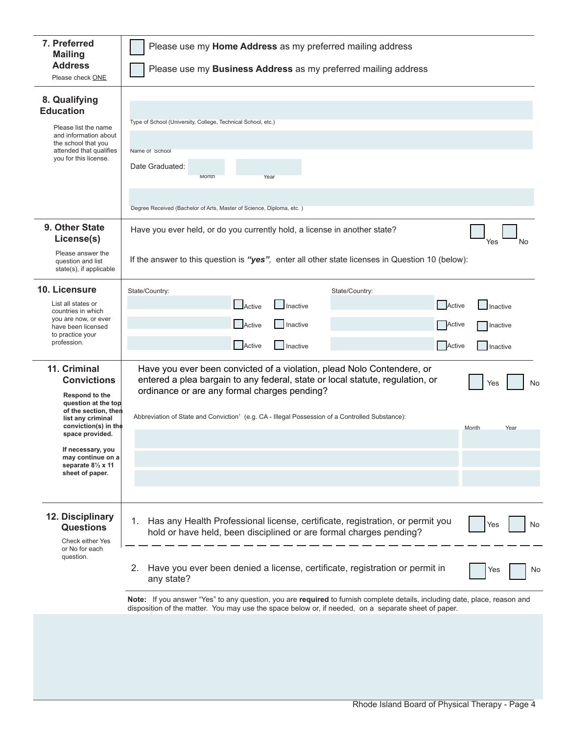| 7. Preferred<br><b>Mailing</b>                                                                                                                                | Please use my Home Address as my preferred mailing address                                                                                                                                                                        |  |  |  |  |  |
|---------------------------------------------------------------------------------------------------------------------------------------------------------------|-----------------------------------------------------------------------------------------------------------------------------------------------------------------------------------------------------------------------------------|--|--|--|--|--|
| <b>Address</b><br>Please check ONE                                                                                                                            | Please use my Business Address as my preferred mailing address                                                                                                                                                                    |  |  |  |  |  |
| 8. Qualifying<br><b>Education</b><br>Please list the name<br>and information about<br>the school that you<br>attended that qualifies<br>you for this license. | Type of School (University, College, Technical School, etc.)<br>Name of School<br>Date Graduated:<br>Month<br>Year                                                                                                                |  |  |  |  |  |
|                                                                                                                                                               | Degree Received (Bachelor of Arts, Master of Science, Diploma, etc.)                                                                                                                                                              |  |  |  |  |  |
| 9. Other State<br>License(s)                                                                                                                                  | Have you ever held, or do you currently hold, a license in another state?<br>Yes<br>No                                                                                                                                            |  |  |  |  |  |
| Please answer the<br>question and list<br>state(s), if applicable                                                                                             | If the answer to this question is "yes", enter all other state licenses in Question 10 (below):                                                                                                                                   |  |  |  |  |  |
| 10. Licensure                                                                                                                                                 | State/Country:<br>State/Country:                                                                                                                                                                                                  |  |  |  |  |  |
| List all states or<br>countries in which<br>you are now, or ever<br>have been licensed<br>to practice your<br>profession.                                     | <b>I</b> Active<br>Active<br>Inactive<br>Inactive<br>Active<br>Inactive                                                                                                                                                           |  |  |  |  |  |
|                                                                                                                                                               | Active<br>Inactive<br>Active<br>Active<br><b>Inactive</b><br>Inactive                                                                                                                                                             |  |  |  |  |  |
| 11. Criminal<br><b>Convictions</b><br>Respond to the<br>question at the top<br>of the section, then                                                           | Have you ever been convicted of a violation, plead Nolo Contendere, or<br>entered a plea bargain to any federal, state or local statute, regulation, or<br>No<br>Yes<br>ordinance or are any formal charges pending?              |  |  |  |  |  |
| list any criminal<br>conviction(s) in the<br>space provided.<br>If necessary, you<br>may continue on a<br>separate 81/2 x 11<br>sheet of paper.               | Abbreviation of State and Conviction <sup>1</sup> (e.g. CA - Illegal Possession of a Controlled Substance):<br>Month<br>Year                                                                                                      |  |  |  |  |  |
|                                                                                                                                                               |                                                                                                                                                                                                                                   |  |  |  |  |  |
| 12. Disciplinary<br><b>Questions</b><br>Check either Yes<br>or No for each                                                                                    | Has any Health Professional license, certificate, registration, or permit you<br>1.<br>No<br>Yes<br>hold or have held, been disciplined or are formal charges pending?                                                            |  |  |  |  |  |
| question.                                                                                                                                                     | Have you ever been denied a license, certificate, registration or permit in<br>2.<br>No<br>Yes<br>any state?                                                                                                                      |  |  |  |  |  |
|                                                                                                                                                               | Note: If you answer "Yes" to any question, you are required to furnish complete details, including date, place, reason and<br>disposition of the matter. You may use the space below or, if needed, on a separate sheet of paper. |  |  |  |  |  |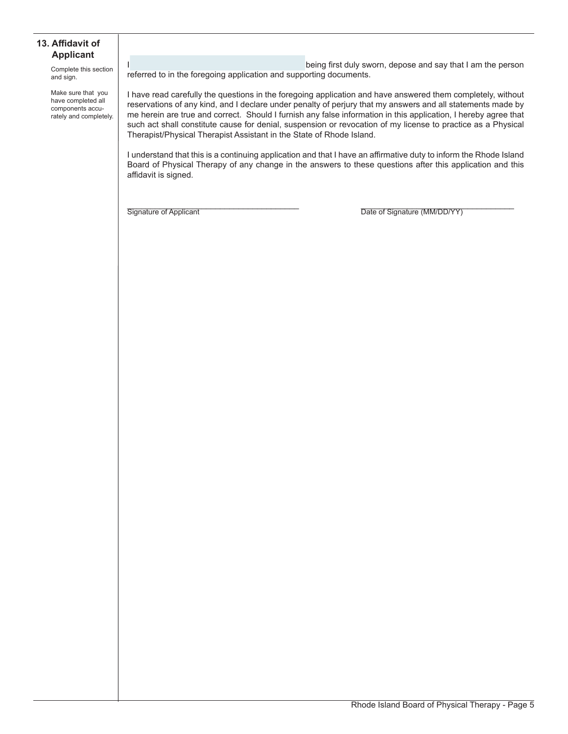#### **13. Affidavit of Applicant**

Complete this section and sign.

Make sure that you have completed all components accurately and completely.

being first duly sworn, depose and say that I am the person referred to in the foregoing application and supporting documents.

I have read carefully the questions in the foregoing application and have answered them completely, without reservations of any kind, and I declare under penalty of perjury that my answers and all statements made by me herein are true and correct. Should I furnish any false information in this application, I hereby agree that such act shall constitute cause for denial, suspension or revocation of my license to practice as a Physical Therapist/Physical Therapist Assistant in the State of Rhode Island.

I understand that this is a continuing application and that I have an affirmative duty to inform the Rhode Island Board of Physical Therapy of any change in the answers to these questions after this application and this affidavit is signed.

Signature of Applicant **Example 20** The Signature (MM/DD/YY)